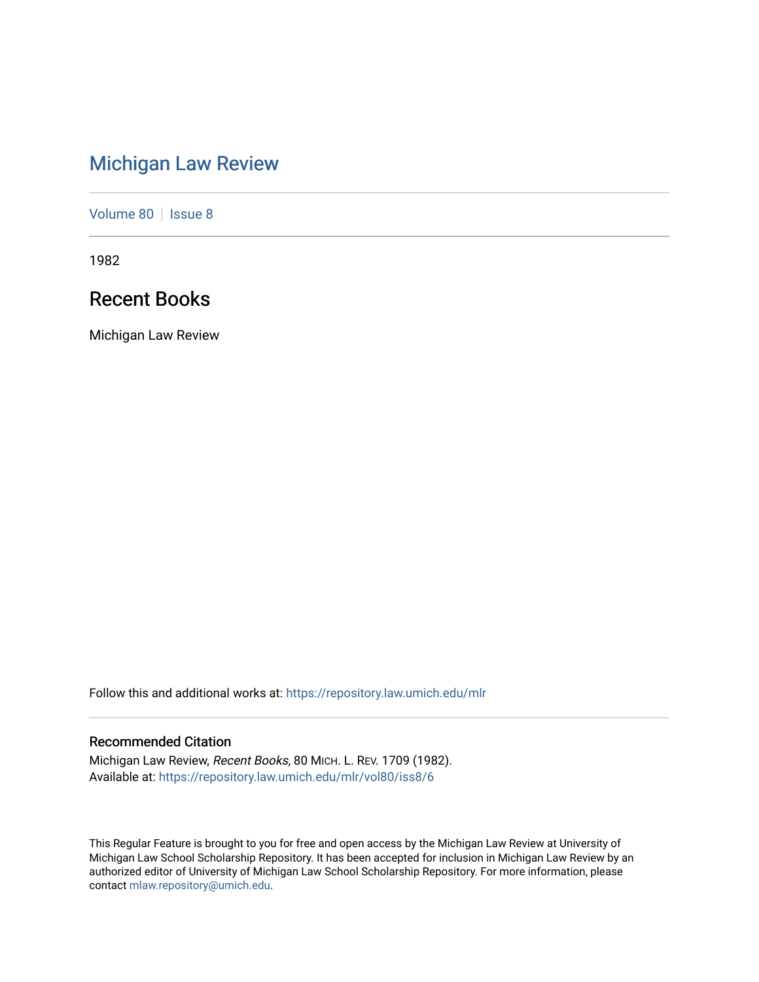# [Michigan Law Review](https://repository.law.umich.edu/mlr)

[Volume 80](https://repository.law.umich.edu/mlr/vol80) | [Issue 8](https://repository.law.umich.edu/mlr/vol80/iss8)

1982

# Recent Books

Michigan Law Review

Follow this and additional works at: [https://repository.law.umich.edu/mlr](https://repository.law.umich.edu/mlr?utm_source=repository.law.umich.edu%2Fmlr%2Fvol80%2Fiss8%2F6&utm_medium=PDF&utm_campaign=PDFCoverPages) 

# Recommended Citation

Michigan Law Review, Recent Books, 80 MICH. L. REV. 1709 (1982). Available at: [https://repository.law.umich.edu/mlr/vol80/iss8/6](https://repository.law.umich.edu/mlr/vol80/iss8/6?utm_source=repository.law.umich.edu%2Fmlr%2Fvol80%2Fiss8%2F6&utm_medium=PDF&utm_campaign=PDFCoverPages)

This Regular Feature is brought to you for free and open access by the Michigan Law Review at University of Michigan Law School Scholarship Repository. It has been accepted for inclusion in Michigan Law Review by an authorized editor of University of Michigan Law School Scholarship Repository. For more information, please contact [mlaw.repository@umich.edu](mailto:mlaw.repository@umich.edu).